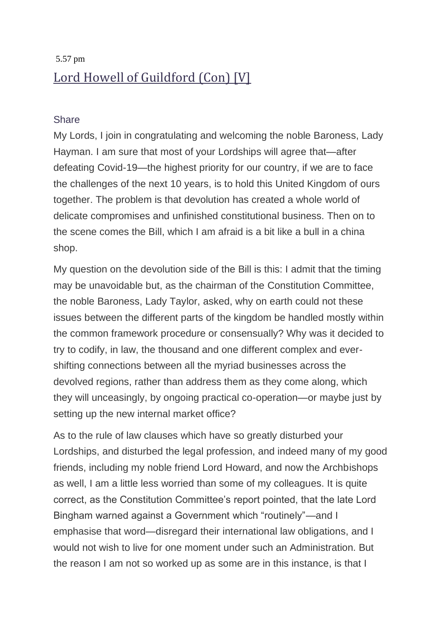## 5.57 pm [Lord Howell of Guildford \(Con\) \[V\]](https://hansard.parliament.uk/search/MemberContributions?house=Lords&memberId=993)

## **[Share](https://hansard.parliament.uk/Lords/2020-10-19/debates/EE01801B-5883-4BDD-9809-B860F5BA6120/UnitedKingdomInternalMarketBill#contribution-E72185D5-9A4B-4CB0-9F4D-DDB23D2761ED)**

My Lords, I join in congratulating and welcoming the noble Baroness, Lady Hayman. I am sure that most of your Lordships will agree that—after defeating Covid-19—the highest priority for our country, if we are to face the challenges of the next 10 years, is to hold this United Kingdom of ours together. The problem is that devolution has created a whole world of delicate compromises and unfinished constitutional business. Then on to the scene comes the Bill, which I am afraid is a bit like a bull in a china shop.

My question on the devolution side of the Bill is this: I admit that the timing may be unavoidable but, as the chairman of the Constitution Committee, the noble Baroness, Lady Taylor, asked, why on earth could not these issues between the different parts of the kingdom be handled mostly within the common framework procedure or consensually? Why was it decided to try to codify, in law, the thousand and one different complex and evershifting connections between all the myriad businesses across the devolved regions, rather than address them as they come along, which they will unceasingly, by ongoing practical co-operation—or maybe just by setting up the new internal market office?

As to the rule of law clauses which have so greatly disturbed your Lordships, and disturbed the legal profession, and indeed many of my good friends, including my noble friend Lord Howard, and now the Archbishops as well, I am a little less worried than some of my colleagues. It is quite correct, as the Constitution Committee's report pointed, that the late Lord Bingham warned against a Government which "routinely"—and I emphasise that word—disregard their international law obligations, and I would not wish to live for one moment under such an Administration. But the reason I am not so worked up as some are in this instance, is that I